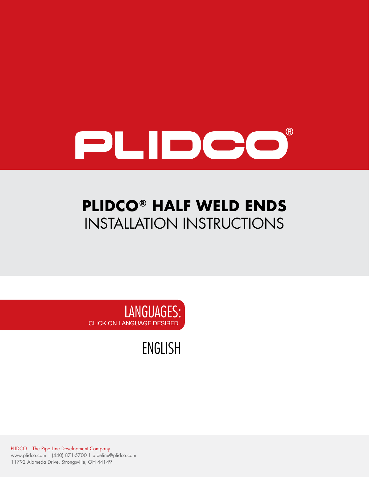

# **PLIDCO® HALF WELD ENDS** INSTALLATION INSTRUCTIONS



[ENGLISH](#page-1-0)

PLIDCO – The Pipe Line Development Company www.plidco.com | (440) 871-5700 | pipeline@plidco.com 11792 Alameda Drive, Strongsville, OH 44149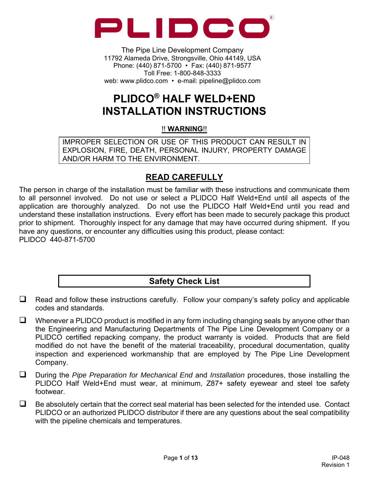<span id="page-1-0"></span>

The Pipe Line Development Company 11792 Alameda Drive, Strongsville, Ohio 44149, USA Phone: (440) 871-5700 • Fax: (440) 871-9577 Toll Free: 1-800-848-3333 web: www.plidco.com • e-mail: pipeline@plidco.com

## **PLIDCO® HALF WELD+END INSTALLATION INSTRUCTIONS**

#### !! **WARNING**!!

IMPROPER SELECTION OR USE OF THIS PRODUCT CAN RESULT IN EXPLOSION, FIRE, DEATH, PERSONAL INJURY, PROPERTY DAMAGE AND/OR HARM TO THE ENVIRONMENT.

## **READ CAREFULLY**

The person in charge of the installation must be familiar with these instructions and communicate them to all personnel involved. Do not use or select a PLIDCO Half Weld+End until all aspects of the application are thoroughly analyzed. Do not use the PLIDCO Half Weld+End until you read and understand these installation instructions. Every effort has been made to securely package this product prior to shipment. Thoroughly inspect for any damage that may have occurred during shipment. If you have any questions, or encounter any difficulties using this product, please contact: PLIDCO 440-871-5700

## **Safety Check List**

- $\Box$  Read and follow these instructions carefully. Follow your company's safety policy and applicable codes and standards.
- $\Box$  Whenever a PLIDCO product is modified in any form including changing seals by anyone other than the Engineering and Manufacturing Departments of The Pipe Line Development Company or a PLIDCO certified repacking company, the product warranty is voided. Products that are field modified do not have the benefit of the material traceability, procedural documentation, quality inspection and experienced workmanship that are employed by The Pipe Line Development Company.
- During the *Pipe Preparation for Mechanical End* and *Installation* procedures, those installing the PLIDCO Half Weld+End must wear, at minimum, Z87+ safety eyewear and steel toe safety footwear.
- $\Box$  Be absolutely certain that the correct seal material has been selected for the intended use. Contact PLIDCO or an authorized PLIDCO distributor if there are any questions about the seal compatibility with the pipeline chemicals and temperatures.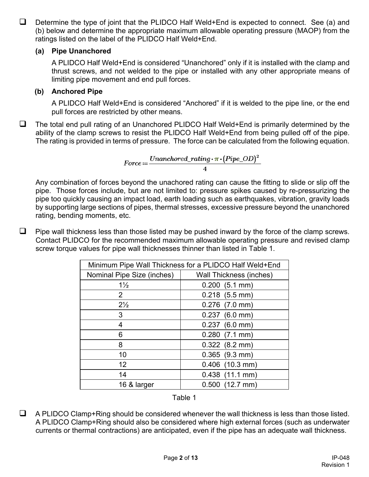$\Box$  Determine the type of joint that the PLIDCO Half Weld+End is expected to connect. See (a) and (b) below and determine the appropriate maximum allowable operating pressure (MAOP) from the ratings listed on the label of the PLIDCO Half Weld+End.

#### **(a) Pipe Unanchored**

A PLIDCO Half Weld+End is considered "Unanchored" only if it is installed with the clamp and thrust screws, and not welded to the pipe or installed with any other appropriate means of limiting pipe movement and end pull forces.

#### **(b) Anchored Pipe**

A PLIDCO Half Weld+End is considered "Anchored" if it is welded to the pipe line, or the end pull forces are restricted by other means.

 $\Box$  The total end pull rating of an Unanchored PLIDCO Half Weld+End is primarily determined by the ability of the clamp screws to resist the PLIDCO Half Weld+End from being pulled off of the pipe. The rating is provided in terms of pressure. The force can be calculated from the following equation.

$$
Force:=\frac{Unanchored\_rating \boldsymbol{\cdot} \pi \boldsymbol{\cdot} (Pipe\_OD)^2}{4}
$$

Any combination of forces beyond the unachored rating can cause the fitting to slide or slip off the pipe. Those forces include, but are not limited to: pressure spikes caused by re-pressurizing the pipe too quickly causing an impact load, earth loading such as earthquakes, vibration, gravity loads by supporting large sections of pipes, thermal stresses, excessive pressure beyond the unanchored rating, bending moments, etc.

 $\Box$  Pipe wall thickness less than those listed may be pushed inward by the force of the clamp screws. Contact PLIDCO for the recommended maximum allowable operating pressure and revised clamp screw torque values for pipe wall thicknesses thinner than listed in Table 1.

| Minimum Pipe Wall Thickness for a PLIDCO Half Weld+End |                                |  |
|--------------------------------------------------------|--------------------------------|--|
| Nominal Pipe Size (inches)                             | <b>Wall Thickness (inches)</b> |  |
| $1\frac{1}{2}$                                         | $0.200$ (5.1 mm)               |  |
| $\overline{2}$                                         | $0.218$ (5.5 mm)               |  |
| $2\frac{1}{2}$                                         | $0.276$ (7.0 mm)               |  |
| 3                                                      | $0.237$ (6.0 mm)               |  |
| 4                                                      | $0.237$ (6.0 mm)               |  |
| 6                                                      | $0.280$ (7.1 mm)               |  |
| 8                                                      | $0.322$ (8.2 mm)               |  |
| 10                                                     | $0.365$ (9.3 mm)               |  |
| 12                                                     | $0.406$ (10.3 mm)              |  |
| 14                                                     | $0.438$ (11.1 mm)              |  |
| 16 & larger                                            | $0.500$ (12.7 mm)              |  |



 $\Box$  A PLIDCO Clamp+Ring should be considered whenever the wall thickness is less than those listed. A PLIDCO Clamp+Ring should also be considered where high external forces (such as underwater currents or thermal contractions) are anticipated, even if the pipe has an adequate wall thickness.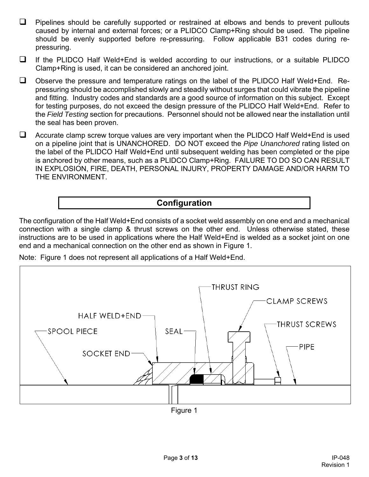- $\Box$  Pipelines should be carefully supported or restrained at elbows and bends to prevent pullouts caused by internal and external forces; or a PLIDCO Clamp+Ring should be used. The pipeline should be evenly supported before re-pressuring. Follow applicable B31 codes during repressuring.
- $\Box$  If the PLIDCO Half Weld+End is welded according to our instructions, or a suitable PLIDCO Clamp+Ring is used, it can be considered an anchored joint.
- Observe the pressure and temperature ratings on the label of the PLIDCO Half Weld+End. Repressuring should be accomplished slowly and steadily without surges that could vibrate the pipeline and fitting. Industry codes and standards are a good source of information on this subject. Except for testing purposes, do not exceed the design pressure of the PLIDCO Half Weld+End. Refer to the *Field Testing* section for precautions. Personnel should not be allowed near the installation until the seal has been proven.
- $\Box$  Accurate clamp screw torque values are very important when the PLIDCO Half Weld+End is used on a pipeline joint that is UNANCHORED. DO NOT exceed the *Pipe Unanchored* rating listed on the label of the PLIDCO Half Weld+End until subsequent welding has been completed or the pipe is anchored by other means, such as a PLIDCO Clamp+Ring. FAILURE TO DO SO CAN RESULT IN EXPLOSION, FIRE, DEATH, PERSONAL INJURY, PROPERTY DAMAGE AND/OR HARM TO THE ENVIRONMENT.

## **Configuration**

The configuration of the Half Weld+End consists of a socket weld assembly on one end and a mechanical connection with a single clamp & thrust screws on the other end. Unless otherwise stated, these instructions are to be used in applications where the Half Weld+End is welded as a socket joint on one end and a mechanical connection on the other end as shown in Figure 1.

Note: Figure 1 does not represent all applications of a Half Weld+End.



Figure 1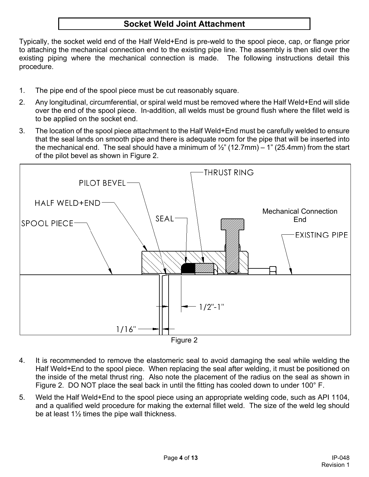## **Socket Weld Joint Attachment**

Typically, the socket weld end of the Half Weld+End is pre-weld to the spool piece, cap, or flange prior to attaching the mechanical connection end to the existing pipe line. The assembly is then slid over the existing piping where the mechanical connection is made. The following instructions detail this procedure.

- 1. The pipe end of the spool piece must be cut reasonably square.
- 2. Any longitudinal, circumferential, or spiral weld must be removed where the Half Weld+End will slide over the end of the spool piece. In-addition, all welds must be ground flush where the fillet weld is to be applied on the socket end.
- 3. The location of the spool piece attachment to the Half Weld+End must be carefully welded to ensure that the seal lands on smooth pipe and there is adequate room for the pipe that will be inserted into the mechanical end. The seal should have a minimum of  $\frac{1}{2}$ " (12.7mm) – 1" (25.4mm) from the start of the pilot bevel as shown in Figure 2.



- Figure 2
- 4. It is recommended to remove the elastomeric seal to avoid damaging the seal while welding the Half Weld+End to the spool piece. When replacing the seal after welding, it must be positioned on the inside of the metal thrust ring. Also note the placement of the radius on the seal as shown in Figure 2. DO NOT place the seal back in until the fitting has cooled down to under 100° F.
- 5. Weld the Half Weld+End to the spool piece using an appropriate welding code, such as API 1104, and a qualified weld procedure for making the external fillet weld. The size of the weld leg should be at least 1½ times the pipe wall thickness.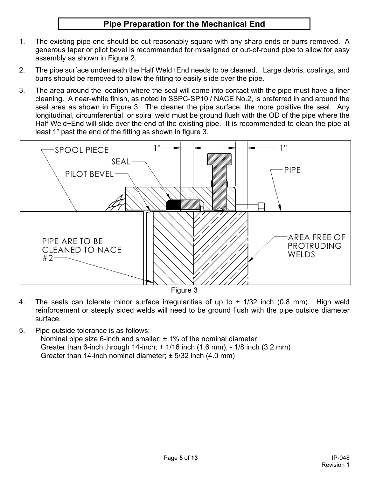## **Pipe Preparation for the Mechanical End**

- 1. The existing pipe end should be cut reasonably square with any sharp ends or burrs removed. A generous taper or pilot bevel is recommended for misaligned or out-of-round pipe to allow for easy assembly as shown in Figure 2.
- 2. The pipe surface underneath the Half Weld+End needs to be cleaned. Large debris, coatings, and burrs should be removed to allow the fitting to easily slide over the pipe.
- 3. The area around the location where the seal will come into contact with the pipe must have a finer cleaning. A near-white finish, as noted in SSPC-SP10 / NACE No.2, is preferred in and around the seal area as shown in Figure 3. The cleaner the pipe surface, the more positive the seal. Any longitudinal, circumferential, or spiral weld must be ground flush with the OD of the pipe where the Half Weld+End will slide over the end of the existing pipe. It is recommended to clean the pipe at least 1" past the end of the fitting as shown in figure 3.



- 4. The seals can tolerate minor surface irregularities of up to ± 1/32 inch (0.8 mm). High weld reinforcement or steeply sided welds will need to be ground flush with the pipe outside diameter surface.
- 5. Pipe outside tolerance is as follows: Nominal pipe size 6-inch and smaller;  $\pm$  1% of the nominal diameter Greater than 6-inch through 14-inch; + 1/16 inch (1.6 mm), - 1/8 inch (3.2 mm) Greater than 14-inch nominal diameter;  $\pm$  5/32 inch (4.0 mm)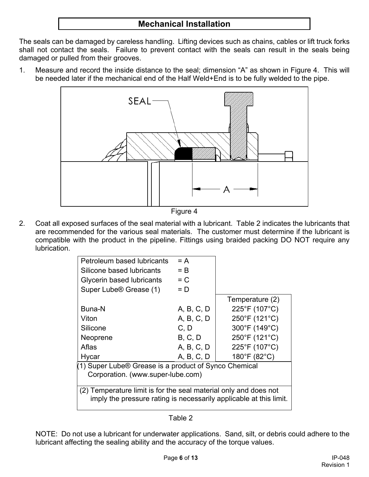## **Mechanical Installation**

The seals can be damaged by careless handling. Lifting devices such as chains, cables or lift truck forks shall not contact the seals. Failure to prevent contact with the seals can result in the seals being damaged or pulled from their grooves.

1. Measure and record the inside distance to the seal; dimension "A" as shown in Figure 4. This will be needed later if the mechanical end of the Half Weld+End is to be fully welded to the pipe.



Figure 4

2. Coat all exposed surfaces of the seal material with a lubricant. Table 2 indicates the lubricants that are recommended for the various seal materials. The customer must determine if the lubricant is compatible with the product in the pipeline. Fittings using braided packing DO NOT require any lubrication.

| Petroleum based lubricants                                         | $= A$      |                 |  |
|--------------------------------------------------------------------|------------|-----------------|--|
| Silicone based lubricants                                          | $=$ B      |                 |  |
| Glycerin based lubricants                                          | $= C$      |                 |  |
| Super Lube <sup>®</sup> Grease (1)                                 | $= D$      |                 |  |
|                                                                    |            | Temperature (2) |  |
| Buna-N                                                             | A, B, C, D | 225°F (107°C)   |  |
| Viton                                                              | A, B, C, D | 250°F (121°C)   |  |
| Silicone                                                           | C, D       | 300°F (149°C)   |  |
| Neoprene                                                           | B, C, D    | 250°F (121°C)   |  |
| Aflas                                                              | A, B, C, D | 225°F (107°C)   |  |
| Hycar                                                              | A, B, C, D | 180°F (82°C)    |  |
| (1) Super Lube® Grease is a product of Synco Chemical              |            |                 |  |
| Corporation. (www.super-lube.com)                                  |            |                 |  |
|                                                                    |            |                 |  |
| (2) Temperature limit is for the seal material only and does not   |            |                 |  |
| imply the pressure rating is necessarily applicable at this limit. |            |                 |  |
|                                                                    |            |                 |  |

#### Table 2

NOTE: Do not use a lubricant for underwater applications. Sand, silt, or debris could adhere to the lubricant affecting the sealing ability and the accuracy of the torque values.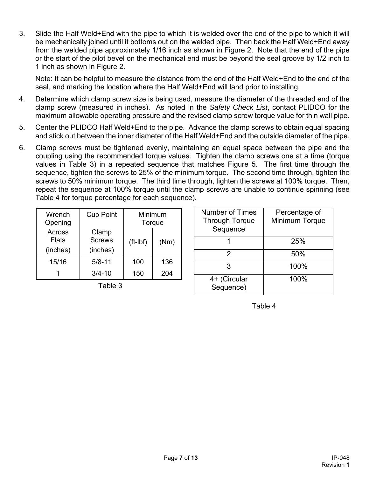3. Slide the Half Weld+End with the pipe to which it is welded over the end of the pipe to which it will be mechanically joined until it bottoms out on the welded pipe. Then back the Half Weld+End away from the welded pipe approximately 1/16 inch as shown in Figure 2. Note that the end of the pipe or the start of the pilot bevel on the mechanical end must be beyond the seal groove by 1/2 inch to 1 inch as shown in Figure 2.

Note: It can be helpful to measure the distance from the end of the Half Weld+End to the end of the seal, and marking the location where the Half Weld+End will land prior to installing.

- 4. Determine which clamp screw size is being used, measure the diameter of the threaded end of the clamp screw (measured in inches). As noted in the *Safety Check List*, contact PLIDCO for the maximum allowable operating pressure and the revised clamp screw torque value for thin wall pipe.
- 5. Center the PLIDCO Half Weld+End to the pipe. Advance the clamp screws to obtain equal spacing and stick out between the inner diameter of the Half Weld+End and the outside diameter of the pipe.
- 6. Clamp screws must be tightened evenly, maintaining an equal space between the pipe and the coupling using the recommended torque values. Tighten the clamp screws one at a time (torque values in Table 3) in a repeated sequence that matches Figure 5. The first time through the sequence, tighten the screws to 25% of the minimum torque. The second time through, tighten the screws to 50% minimum torque. The third time through, tighten the screws at 100% torque. Then, repeat the sequence at 100% torque until the clamp screws are unable to continue spinning (see Table 4 for torque percentage for each sequence).

| Wrench<br>Opening                  | <b>Cup Point</b>                   | Torque     | Minimum |
|------------------------------------|------------------------------------|------------|---------|
| Across<br><b>Flats</b><br>(inches) | Clamp<br><b>Screws</b><br>(inches) | $(ft-lbf)$ | (Nm)    |
| 15/16                              | $5/8 - 11$                         | 100        | 136     |
|                                    | $3/4 - 10$                         | 150        | 204     |

Table 3

| <b>Number of Times</b><br><b>Through Torque</b><br>Sequence | Percentage of<br>Minimum Torque |
|-------------------------------------------------------------|---------------------------------|
|                                                             | 25%                             |
| 2                                                           | 50%                             |
| З                                                           | 100%                            |
| 4+ (Circular<br>Sequence)                                   | 100%                            |

Table 4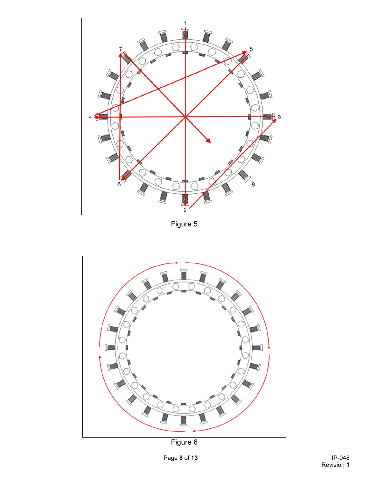

Figure 5



Figure 6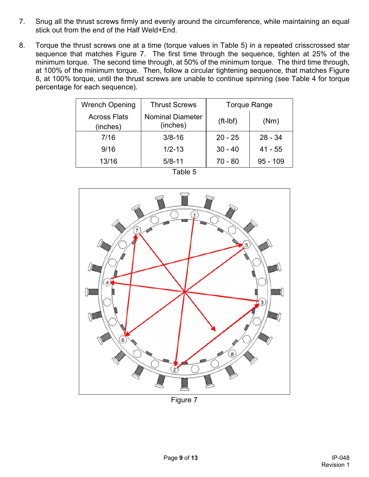- 7. Snug all the thrust screws firmly and evenly around the circumference, while maintaining an equal stick out from the end of the Half Weld+End.
- 8. Torque the thrust screws one at a time (torque values in Table 5) in a repeated crisscrossed star sequence that matches Figure 7. The first time through the sequence, tighten at 25% of the minimum torque. The second time through, at 50% of the minimum torque. The third time through, at 100% of the minimum torque. Then, follow a circular tightening sequence, that matches Figure 8, at 100% torque, until the thrust screws are unable to continue spinning (see Table 4 for torque percentage for each sequence).

| <b>Wrench Opening</b>           | <b>Thrust Screws</b>                |            | <b>Torque Range</b> |
|---------------------------------|-------------------------------------|------------|---------------------|
| <b>Across Flats</b><br>(inches) | <b>Nominal Diameter</b><br>(inches) | $(ft-lbf)$ | (Nm)                |
| 7/16                            | $3/8 - 16$                          | $20 - 25$  | $28 - 34$           |
| 9/16                            | $1/2 - 13$                          | $30 - 40$  | $41 - 55$           |
| 13/16                           | $5/8 - 11$                          | $70 - 80$  | $95 - 109$          |

| aple |  |
|------|--|
|------|--|



Figure 7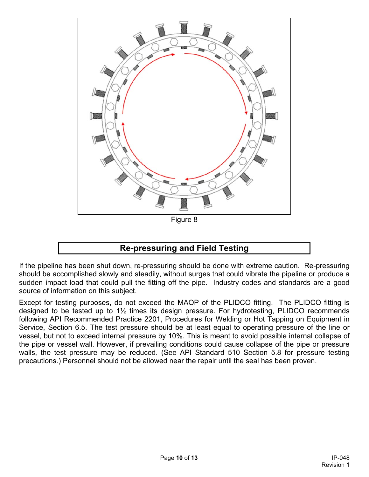

## **Re-pressuring and Field Testing**

If the pipeline has been shut down, re-pressuring should be done with extreme caution. Re-pressuring should be accomplished slowly and steadily, without surges that could vibrate the pipeline or produce a sudden impact load that could pull the fitting off the pipe. Industry codes and standards are a good source of information on this subject.

Except for testing purposes, do not exceed the MAOP of the PLIDCO fitting. The PLIDCO fitting is designed to be tested up to 1½ times its design pressure. For hydrotesting, PLIDCO recommends following API Recommended Practice 2201, Procedures for Welding or Hot Tapping on Equipment in Service, Section 6.5. The test pressure should be at least equal to operating pressure of the line or vessel, but not to exceed internal pressure by 10%. This is meant to avoid possible internal collapse of the pipe or vessel wall. However, if prevailing conditions could cause collapse of the pipe or pressure walls, the test pressure may be reduced. (See API Standard 510 Section 5.8 for pressure testing precautions.) Personnel should not be allowed near the repair until the seal has been proven.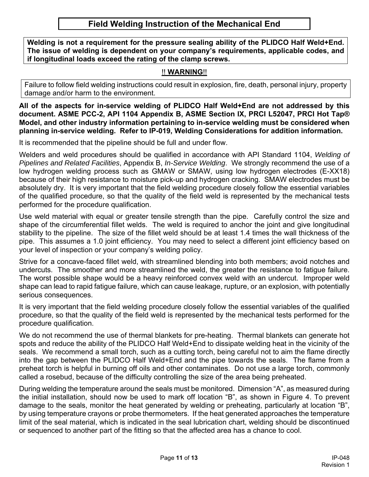### **Field Welding Instruction of the Mechanical End**

**Welding is not a requirement for the pressure sealing ability of the PLIDCO Half Weld+End. The issue of welding is dependent on your company's requirements, applicable codes, and if longitudinal loads exceed the rating of the clamp screws.** 

#### !! **WARNING**!!

Failure to follow field welding instructions could result in explosion, fire, death, personal injury, property damage and/or harm to the environment.

**All of the aspects for in-service welding of PLIDCO Half Weld+End are not addressed by this document. ASME PCC-2, API 1104 Appendix B, ASME Section IX, PRCI L52047, PRCI Hot Tap® Model, and other industry information pertaining to in-service welding must be considered when planning in-service welding. Refer to IP-019, Welding Considerations for addition information.** 

It is recommended that the pipeline should be full and under flow.

Welders and weld procedures should be qualified in accordance with API Standard 1104, *Welding of Pipelines and Related Facilities*, Appendix B, *In-Service Welding*. We strongly recommend the use of a low hydrogen welding process such as GMAW or SMAW, using low hydrogen electrodes (E-XX18) because of their high resistance to moisture pick-up and hydrogen cracking. SMAW electrodes must be absolutely dry. It is very important that the field welding procedure closely follow the essential variables of the qualified procedure, so that the quality of the field weld is represented by the mechanical tests performed for the procedure qualification.

Use weld material with equal or greater tensile strength than the pipe. Carefully control the size and shape of the circumferential fillet welds. The weld is required to anchor the joint and give longitudinal stability to the pipeline. The size of the fillet weld should be at least 1.4 times the wall thickness of the pipe. This assumes a 1.0 joint efficiency. You may need to select a different joint efficiency based on your level of inspection or your company's welding policy.

Strive for a concave-faced fillet weld, with streamlined blending into both members; avoid notches and undercuts. The smoother and more streamlined the weld, the greater the resistance to fatigue failure. The worst possible shape would be a heavy reinforced convex weld with an undercut. Improper weld shape can lead to rapid fatigue failure, which can cause leakage, rupture, or an explosion, with potentially serious consequences.

It is very important that the field welding procedure closely follow the essential variables of the qualified procedure, so that the quality of the field weld is represented by the mechanical tests performed for the procedure qualification.

We do not recommend the use of thermal blankets for pre-heating. Thermal blankets can generate hot spots and reduce the ability of the PLIDCO Half Weld+End to dissipate welding heat in the vicinity of the seals. We recommend a small torch, such as a cutting torch, being careful not to aim the flame directly into the gap between the PLIDCO Half Weld+End and the pipe towards the seals. The flame from a preheat torch is helpful in burning off oils and other contaminates. Do not use a large torch, commonly called a rosebud, because of the difficulty controlling the size of the area being preheated.

During welding the temperature around the seals must be monitored. Dimension "A", as measured during the initial installation, should now be used to mark off location "B", as shown in Figure 4. To prevent damage to the seals, monitor the heat generated by welding or preheating, particularly at location "B", by using temperature crayons or probe thermometers. If the heat generated approaches the temperature limit of the seal material, which is indicated in the seal lubrication chart, welding should be discontinued or sequenced to another part of the fitting so that the affected area has a chance to cool.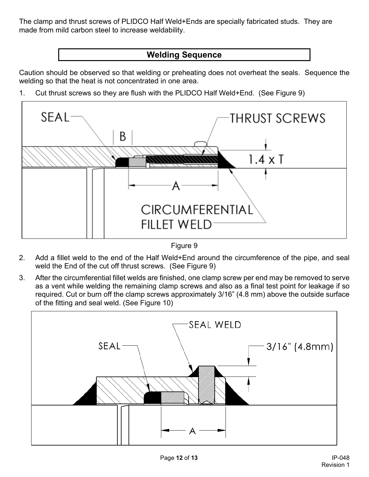The clamp and thrust screws of PLIDCO Half Weld+Ends are specially fabricated studs. They are made from mild carbon steel to increase weldability.

## **Welding Sequence**

Caution should be observed so that welding or preheating does not overheat the seals. Sequence the welding so that the heat is not concentrated in one area.

1. Cut thrust screws so they are flush with the PLIDCO Half Weld+End. (See Figure 9)



Figure 9

- 2. Add a fillet weld to the end of the Half Weld+End around the circumference of the pipe, and seal weld the End of the cut off thrust screws. (See Figure 9)
- 3. After the circumferential fillet welds are finished, one clamp screw per end may be removed to serve as a vent while welding the remaining clamp screws and also as a final test point for leakage if so required. Cut or burn off the clamp screws approximately 3/16" (4.8 mm) above the outside surface of the fitting and seal weld. (See Figure 10)